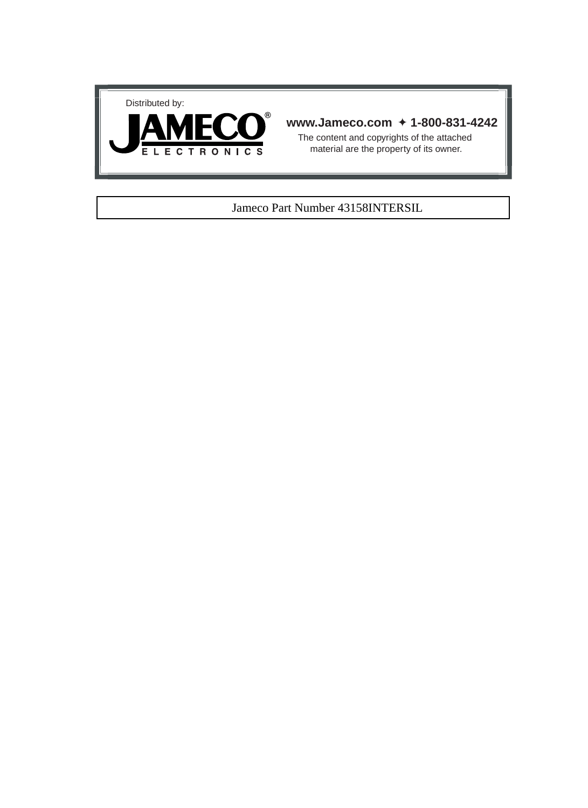



#### **www.Jameco.com** ✦ **1-800-831-4242**

The content and copyrights of the attached material are the property of its owner.

#### Jameco Part Number 43158INTERSIL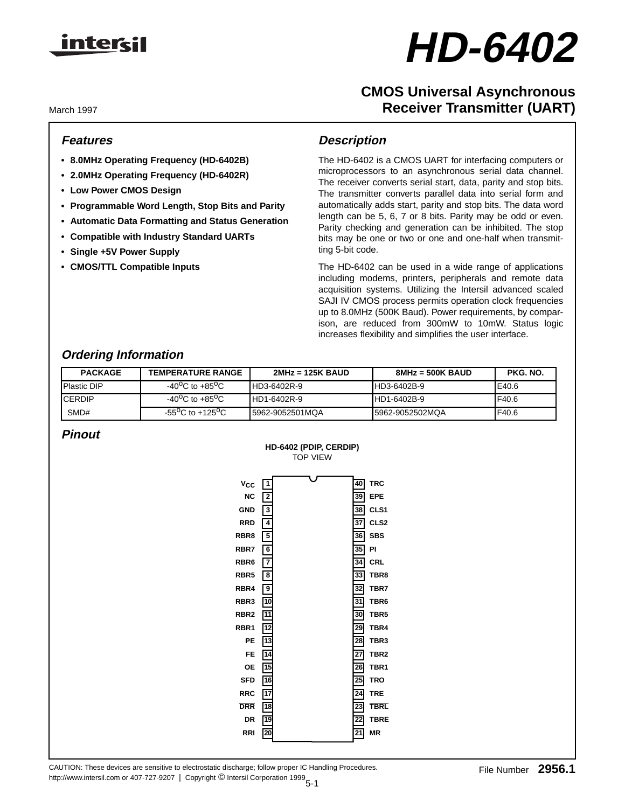

# **HD-6402**

# **CMOS Universal Asynchronous Receiver Transmitter (UART)**

March 1997

#### **Features**

- **8.0MHz Operating Frequency (HD-6402B)**
- **2.0MHz Operating Frequency (HD-6402R)**
- **Low Power CMOS Design**
- **Programmable Word Length, Stop Bits and Parity**
- **Automatic Data Formatting and Status Generation**
- **Compatible with Industry Standard UARTs**
- **Single +5V Power Supply**
- **CMOS/TTL Compatible Inputs**

## **Description**

The HD-6402 is a CMOS UART for interfacing computers or microprocessors to an asynchronous serial data channel. The receiver converts serial start, data, parity and stop bits. The transmitter converts parallel data into serial form and automatically adds start, parity and stop bits. The data word length can be 5, 6, 7 or 8 bits. Parity may be odd or even. Parity checking and generation can be inhibited. The stop bits may be one or two or one and one-half when transmitting 5-bit code.

The HD-6402 can be used in a wide range of applications including modems, printers, peripherals and remote data acquisition systems. Utilizing the Intersil advanced scaled SAJI IV CMOS process permits operation clock frequencies up to 8.0MHz (500K Baud). Power requirements, by comparison, are reduced from 300mW to 10mW. Status logic increases flexibility and simplifies the user interface.

## **Ordering Information**

| <b>PACKAGE</b>      | <b>TEMPERATURE RANGE</b>                  | $2MHz = 125K$ BAUD | $8MHz = 500K$ BAUD | PKG. NO. |
|---------------------|-------------------------------------------|--------------------|--------------------|----------|
| <b>IPlastic DIP</b> | $-40^{0}$ C to $+85^{0}$ C                | HD3-6402R-9        | HD3-6402B-9        | E40.6    |
| <b>ICERDIP</b>      | $-40^{0}$ C to $+85^{0}$ C                | <b>HD1-6402R-9</b> | HD1-6402B-9        | IF40.6   |
| SMD#                | -55 <sup>o</sup> C to +125 <sup>o</sup> C | 15962-9052501MQA   | I5962-9052502MQA   | IF40.6   |

## **Pinout**



#### 5-1 http://www.intersil.com or 407-727-9207 | Copyright © Intersil Corporation 1999CAUTION: These devices are sensitive to electrostatic discharge; follow proper IC Handling Procedures. File Number 2956.1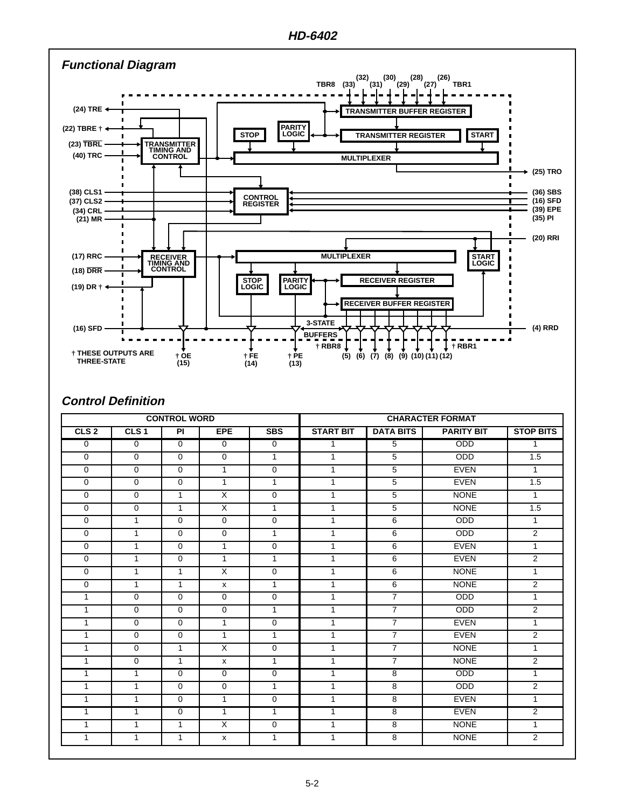

#### **Control Definition**

| <b>CONTROL WORD</b> |                  |                |                         | <b>CHARACTER FORMAT</b> |                  |                  |                   |                  |  |
|---------------------|------------------|----------------|-------------------------|-------------------------|------------------|------------------|-------------------|------------------|--|
| CLS <sub>2</sub>    | CLS <sub>1</sub> | <b>PI</b>      | <b>EPE</b>              | <b>SBS</b>              | <b>START BIT</b> | <b>DATA BITS</b> | <b>PARITY BIT</b> | <b>STOP BITS</b> |  |
| $\overline{0}$      | $\overline{0}$   | $\overline{0}$ | $\overline{0}$          | $\overline{0}$          | $\overline{1}$   | $\overline{5}$   | <b>ODD</b>        | $\overline{1}$   |  |
| $\mathbf 0$         | $\overline{0}$   | $\overline{0}$ | $\mathbf 0$             | $\overline{1}$          | $\mathbf{1}$     | $\overline{5}$   | ODD               | 1.5              |  |
| $\overline{0}$      | $\overline{0}$   | $\overline{0}$ | $\overline{1}$          | $\overline{0}$          | $\overline{1}$   | 5                | <b>EVEN</b>       | $\overline{1}$   |  |
| $\overline{0}$      | $\overline{0}$   | $\overline{0}$ | $\overline{1}$          | $\overline{1}$          | $\mathbf{1}$     | $\overline{5}$   | <b>EVEN</b>       | 1.5              |  |
| $\mathbf 0$         | $\mathbf 0$      | 1              | $\overline{X}$          | $\mathbf 0$             | $\mathbf{1}$     | 5                | <b>NONE</b>       | $\mathbf{1}$     |  |
| $\overline{0}$      | $\overline{0}$   | $\overline{1}$ | $\overline{X}$          | $\overline{1}$          | $\overline{1}$   | $\overline{5}$   | <b>NONE</b>       | 1.5              |  |
| $\overline{0}$      | $\overline{1}$   | $\overline{0}$ | $\overline{0}$          | $\overline{0}$          | $\overline{1}$   | $\overline{6}$   | ODD               | $\overline{1}$   |  |
| $\mathbf 0$         | $\mathbf{1}$     | $\mathbf 0$    | $\mathbf 0$             | $\mathbf{1}$            | $\mathbf{1}$     | 6                | ODD               | $\overline{2}$   |  |
| $\overline{0}$      | $\mathbf{1}$     | $\overline{0}$ | $\overline{1}$          | $\overline{0}$          | $\overline{1}$   | 6                | <b>EVEN</b>       | $\overline{1}$   |  |
| $\mathbf 0$         | $\mathbf{1}$     | $\overline{0}$ | $\overline{1}$          | $\mathbf{1}$            | $\overline{1}$   | 6                | <b>EVEN</b>       | $\overline{2}$   |  |
| $\mathbf 0$         | $\overline{1}$   | $\mathbf{1}$   | $\overline{\mathsf{x}}$ | $\mathbf 0$             | $\mathbf{1}$     | 6                | <b>NONE</b>       | $\overline{1}$   |  |
| $\overline{0}$      | $\overline{1}$   | $\overline{1}$ | X                       | $\overline{1}$          | $\mathbf{1}$     | 6                | <b>NONE</b>       | $\overline{2}$   |  |
| $\mathbf{1}$        | $\overline{0}$   | $\overline{0}$ | $\mathbf 0$             | $\mathbf 0$             | $\mathbf{1}$     | $\overline{7}$   | <b>ODD</b>        | $\mathbf{1}$     |  |
| $\mathbf{1}$        | $\overline{0}$   | $\overline{0}$ | $\mathbf 0$             | $\overline{1}$          | $\mathbf{1}$     | $\overline{7}$   | <b>ODD</b>        | $\overline{2}$   |  |
| $\overline{1}$      | $\overline{0}$   | $\overline{0}$ | $\overline{1}$          | $\overline{0}$          | $\overline{1}$   | $\overline{7}$   | <b>EVEN</b>       | $\overline{1}$   |  |
| $\mathbf{1}$        | $\overline{0}$   | $\overline{0}$ | $\mathbf{1}$            | $\overline{1}$          | $\mathbf{1}$     | $\overline{7}$   | <b>EVEN</b>       | $\overline{2}$   |  |
| $\mathbf{1}$        | $\mathbf 0$      | $\mathbf{1}$   | $\overline{\mathsf{x}}$ | $\mathbf 0$             | $\mathbf{1}$     | $\overline{7}$   | <b>NONE</b>       | $\mathbf{1}$     |  |
| $\mathbf{1}$        | $\overline{0}$   | $\overline{1}$ | X                       | $\overline{1}$          | $\overline{1}$   | $\overline{7}$   | <b>NONE</b>       | $\overline{2}$   |  |
| $\mathbf{1}$        | $\mathbf{1}$     | $\overline{0}$ | $\overline{0}$          | $\overline{0}$          | $\mathbf{1}$     | $\overline{8}$   | ODD               | $\overline{1}$   |  |
| $\mathbf{1}$        | $\mathbf{1}$     | $\mathbf 0$    | $\mathbf 0$             | $\mathbf{1}$            | $\mathbf{1}$     | 8                | ODD               | $\overline{2}$   |  |
| $\mathbf{1}$        | $\mathbf{1}$     | $\overline{0}$ | $\overline{1}$          | $\overline{0}$          | $\overline{1}$   | 8                | <b>EVEN</b>       | $\overline{1}$   |  |
| $\mathbf{1}$        | $\overline{1}$   | $\overline{0}$ | $\overline{1}$          | $\overline{1}$          | $\overline{1}$   | $\overline{8}$   | <b>EVEN</b>       | $\overline{2}$   |  |
| $\mathbf{1}$        | $\mathbf{1}$     | $\mathbf{1}$   | $\overline{\mathsf{x}}$ | $\mathbf 0$             | $\mathbf{1}$     | 8                | <b>NONE</b>       | $\overline{1}$   |  |
| $\mathbf{1}$        | $\overline{1}$   | $\mathbf{1}$   | $\pmb{\mathsf{x}}$      | $\mathbf{1}$            | $\overline{1}$   | 8                | <b>NONE</b>       | $\overline{2}$   |  |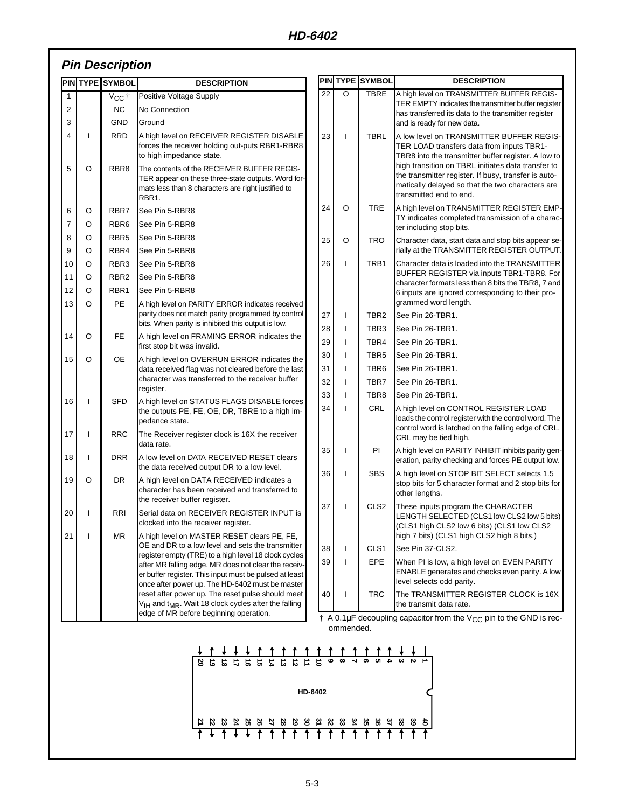# **Pin Description**

|              |         | <b>PINTYPE SYMBOL</b> | <b>DESCRIPTION</b>                                                                                                                                              |                                                                                        |              | <b>PIN TYPE SYMBOL</b> | <b>DESCRIPTION</b>                                                                                                                                                                                 |  |
|--------------|---------|-----------------------|-----------------------------------------------------------------------------------------------------------------------------------------------------------------|----------------------------------------------------------------------------------------|--------------|------------------------|----------------------------------------------------------------------------------------------------------------------------------------------------------------------------------------------------|--|
| $\mathbf{1}$ |         | V <sub>cc</sub> t     | Positive Voltage Supply                                                                                                                                         | 22                                                                                     | O            | <b>TBRE</b>            | A high level on TRANSMITTER BUFFER REGIS-                                                                                                                                                          |  |
| 2            |         | <b>NC</b>             | No Connection                                                                                                                                                   |                                                                                        |              |                        | TER EMPTY indicates the transmitter buffer register<br>has transferred its data to the transmitter register                                                                                        |  |
| 3            |         | <b>GND</b>            | Ground                                                                                                                                                          |                                                                                        |              |                        | and is ready for new data.                                                                                                                                                                         |  |
| 4            | ı       | <b>RRD</b>            | A high level on RECEIVER REGISTER DISABLE<br>forces the receiver holding out-puts RBR1-RBR8<br>to high impedance state.                                         | 23                                                                                     | ı            | <b>TBRL</b>            | A low level on TRANSMITTER BUFFER REGIS-<br>TER LOAD transfers data from inputs TBR1-<br>TBR8 into the transmitter buffer register. A low to<br>high transition on TBRL initiates data transfer to |  |
| 5            | $\circ$ | RBR8                  | The contents of the RECEIVER BUFFER REGIS-<br>TER appear on these three-state outputs. Word for-<br>mats less than 8 characters are right justified to<br>RBR1. |                                                                                        |              |                        | the transmitter register. If busy, transfer is auto-<br>matically delayed so that the two characters are<br>transmitted end to end.                                                                |  |
| 6            | O       | RBR7                  | See Pin 5-RBR8                                                                                                                                                  | 24                                                                                     | $\circ$      | TRE                    | A high level on TRANSMITTER REGISTER EMP-                                                                                                                                                          |  |
| 7            | O       | RBR <sub>6</sub>      | See Pin 5-RBR8                                                                                                                                                  |                                                                                        |              |                        | TY indicates completed transmission of a charac-<br>ter including stop bits.                                                                                                                       |  |
| 8            | O       | RBR <sub>5</sub>      | See Pin 5-RBR8                                                                                                                                                  | 25                                                                                     | O            | TRO                    | Character data, start data and stop bits appear se-                                                                                                                                                |  |
| 9            | O       | RBR4                  | See Pin 5-RBR8                                                                                                                                                  |                                                                                        |              |                        | rially at the TRANSMITTER REGISTER OUTPUT.                                                                                                                                                         |  |
| 10           | O       | RBR3                  | See Pin 5-RBR8                                                                                                                                                  | 26                                                                                     | ı            | TRB1                   | Character data is loaded into the TRANSMITTER                                                                                                                                                      |  |
| 11           | O       | RBR <sub>2</sub>      | See Pin 5-RBR8                                                                                                                                                  |                                                                                        |              |                        | BUFFER REGISTER via inputs TBR1-TBR8. For<br>character formats less than 8 bits the TBR8, 7 and                                                                                                    |  |
| 12           | O       | RBR1                  | See Pin 5-RBR8                                                                                                                                                  |                                                                                        |              |                        | 6 inputs are ignored corresponding to their pro-                                                                                                                                                   |  |
| 13           | O       | PE                    | A high level on PARITY ERROR indicates received                                                                                                                 |                                                                                        |              |                        | grammed word length.                                                                                                                                                                               |  |
|              |         |                       | parity does not match parity programmed by control<br>bits. When parity is inhibited this output is low.                                                        | 27                                                                                     | $\mathbf{I}$ | TBR <sub>2</sub>       | See Pin 26-TBR1.                                                                                                                                                                                   |  |
| 14           | O       | FE                    |                                                                                                                                                                 | 28                                                                                     | ı            | TBR <sub>3</sub>       | See Pin 26-TBR1.                                                                                                                                                                                   |  |
|              |         |                       | A high level on FRAMING ERROR indicates the<br>first stop bit was invalid.                                                                                      | 29                                                                                     | ı            | TBR4                   | See Pin 26-TBR1.                                                                                                                                                                                   |  |
| 15           | O       | OE                    | A high level on OVERRUN ERROR indicates the                                                                                                                     | 30                                                                                     | ı            | TBR5                   | See Pin 26-TBR1.                                                                                                                                                                                   |  |
|              |         |                       | data received flag was not cleared before the last                                                                                                              | 31                                                                                     | ı            | TBR <sub>6</sub>       | See Pin 26-TBR1.                                                                                                                                                                                   |  |
|              |         |                       | character was transferred to the receiver buffer<br>register.                                                                                                   | 32                                                                                     | ı            | TBR7                   | See Pin 26-TBR1.                                                                                                                                                                                   |  |
| 16           | ı       | <b>SFD</b>            | A high level on STATUS FLAGS DISABLE forces                                                                                                                     | 33                                                                                     | ı            | TBR8                   | See Pin 26-TBR1.                                                                                                                                                                                   |  |
|              |         |                       | the outputs PE, FE, OE, DR, TBRE to a high im-<br>pedance state.                                                                                                | 34                                                                                     |              | CRL                    | A high level on CONTROL REGISTER LOAD<br>loads the control register with the control word. The<br>control word is latched on the falling edge of CRL.                                              |  |
| 17           | ı       | <b>RRC</b>            | The Receiver register clock is 16X the receiver<br>data rate.                                                                                                   |                                                                                        |              |                        | CRL may be tied high.                                                                                                                                                                              |  |
| 18           | ı       | <b>DRR</b>            | A low level on DATA RECEIVED RESET clears<br>the data received output DR to a low level.                                                                        | 35                                                                                     | ı            | PI                     | A high level on PARITY INHIBIT inhibits parity gen-<br>eration, parity checking and forces PE output low.                                                                                          |  |
| 19           | O       | DR                    | A high level on DATA RECEIVED indicates a<br>character has been received and transferred to                                                                     | 36                                                                                     | $\mathbf{I}$ | <b>SBS</b>             | A high level on STOP BIT SELECT selects 1.5<br>stop bits for 5 character format and 2 stop bits for<br>other lengths.                                                                              |  |
|              |         |                       | the receiver buffer register.                                                                                                                                   | 37                                                                                     | ı            | CLS2                   | These inputs program the CHARACTER                                                                                                                                                                 |  |
| 20           | ı       | RRI                   | Serial data on RECEIVER REGISTER INPUT is<br>clocked into the receiver register.                                                                                |                                                                                        |              |                        | ENGTH SELECTED (CLS1 low CLS2 low 5 bits)<br>(CLS1 high CLS2 low 6 bits) (CLS1 low CLS2                                                                                                            |  |
| 21           |         | <b>MR</b>             | A high level on MASTER RESET clears PE, FE,<br>OE and DR to a low level and sets the transmitter                                                                | 38                                                                                     | ı            | CLS1                   | high 7 bits) (CLS1 high CLS2 high 8 bits.)<br>See Pin 37-CLS2.                                                                                                                                     |  |
|              |         |                       | register empty (TRE) to a high level 18 clock cycles<br>after MR falling edge. MR does not clear the receiv-                                                    | 39                                                                                     | ı            | <b>EPE</b>             | When PI is low, a high level on EVEN PARITY                                                                                                                                                        |  |
|              |         |                       | er buffer register. This input must be pulsed at least                                                                                                          |                                                                                        |              |                        | ENABLE generates and checks even parity. A low<br>level selects odd parity.                                                                                                                        |  |
|              |         |                       | once after power up. The HD-6402 must be master<br>reset after power up. The reset pulse should meet                                                            | 40                                                                                     | ı            | TRC                    | The TRANSMITTER REGISTER CLOCK is 16X                                                                                                                                                              |  |
|              |         |                       | V <sub>IH</sub> and t <sub>MR</sub> . Wait 18 clock cycles after the falling                                                                                    |                                                                                        |              |                        | the transmit data rate.                                                                                                                                                                            |  |
|              |         |                       | edge of MR before beginning operation.                                                                                                                          | $\dagger$ A 0.1µF decoupling capacitor from the V <sub>CC</sub> pin to the GND is rec- |              |                        |                                                                                                                                                                                                    |  |
|              |         |                       |                                                                                                                                                                 |                                                                                        | ommended.    |                        |                                                                                                                                                                                                    |  |
|              |         |                       |                                                                                                                                                                 |                                                                                        |              |                        |                                                                                                                                                                                                    |  |

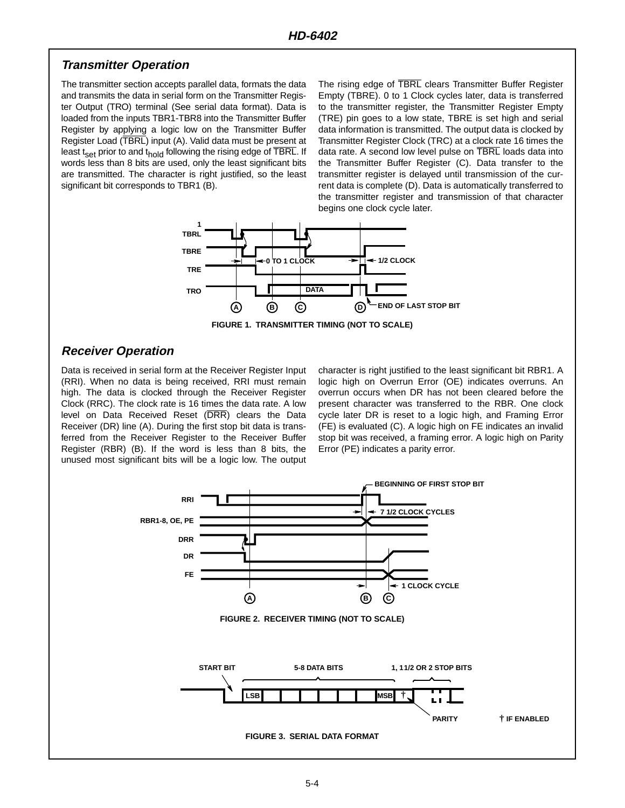#### **Transmitter Operation**

The transmitter section accepts parallel data, formats the data and transmits the data in serial form on the Transmitter Register Output (TRO) terminal (See serial data format). Data is loaded from the inputs TBR1-TBR8 into the Transmitter Buffer Register by applying a logic low on the Transmitter Buffer Register Load (TBRL) input (A). Valid data must be present at least t<sub>set</sub> prior to and t<sub>hold</sub> following the rising edge of  $\overline{\text{TBRL}}$ . If words less than 8 bits are used, only the least significant bits are transmitted. The character is right justified, so the least significant bit corresponds to TBR1 (B).

The rising edge of TBRL clears Transmitter Buffer Register Empty (TBRE). 0 to 1 Clock cycles later, data is transferred to the transmitter register, the Transmitter Register Empty (TRE) pin goes to a low state, TBRE is set high and serial data information is transmitted. The output data is clocked by Transmitter Register Clock (TRC) at a clock rate 16 times the data rate. A second low level pulse on TBRL loads data into the Transmitter Buffer Register (C). Data transfer to the transmitter register is delayed until transmission of the current data is complete (D). Data is automatically transferred to the transmitter register and transmission of that character begins one clock cycle later.



**FIGURE 1. TRANSMITTER TIMING (NOT TO SCALE)**

## **Receiver Operation**

Data is received in serial form at the Receiver Register Input (RRI). When no data is being received, RRI must remain high. The data is clocked through the Receiver Register Clock (RRC). The clock rate is 16 times the data rate. A low level on Data Received Reset (DRR) clears the Data Receiver (DR) line (A). During the first stop bit data is transferred from the Receiver Register to the Receiver Buffer Register (RBR) (B). If the word is less than 8 bits, the unused most significant bits will be a logic low. The output

character is right justified to the least significant bit RBR1. A logic high on Overrun Error (OE) indicates overruns. An overrun occurs when DR has not been cleared before the present character was transferred to the RBR. One clock cycle later DR is reset to a logic high, and Framing Error (FE) is evaluated (C). A logic high on FE indicates an invalid stop bit was received, a framing error. A logic high on Parity Error (PE) indicates a parity error.

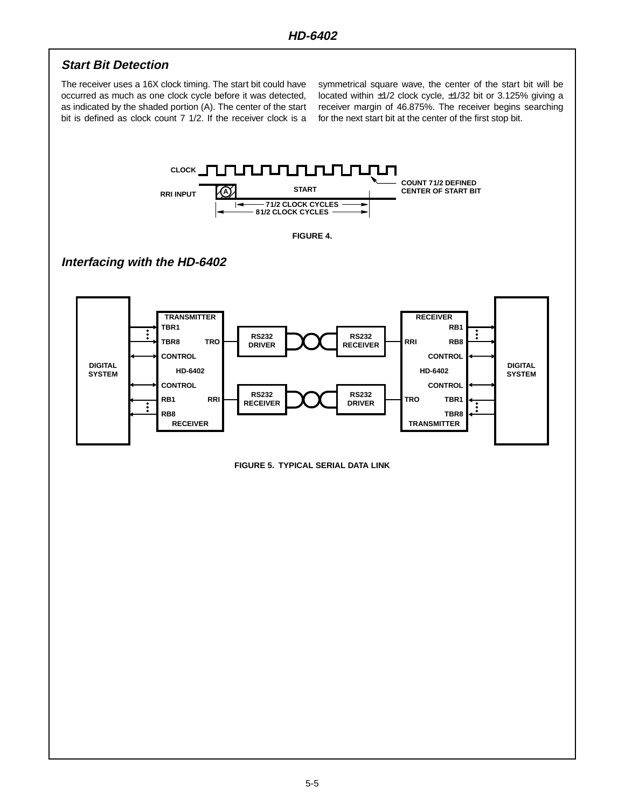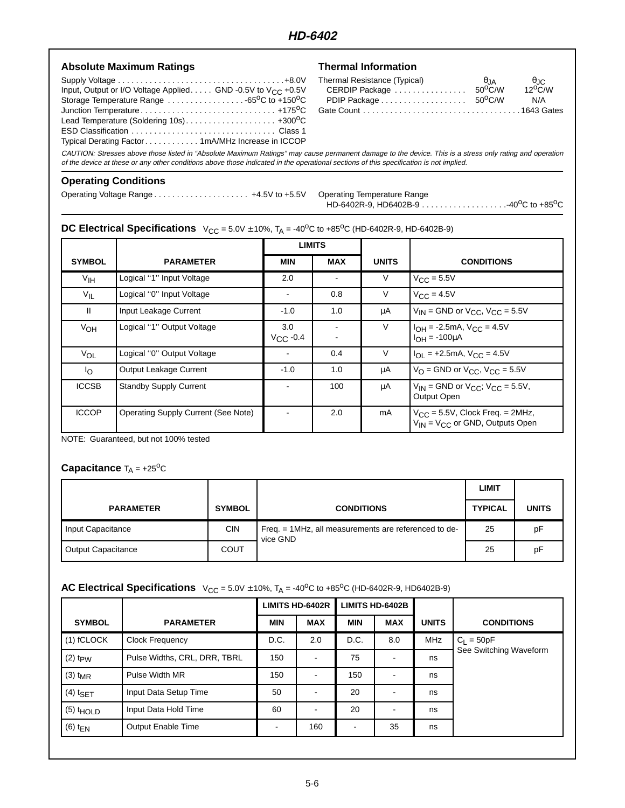## **HD-6402**

| <b>Absolute Maximum Ratings</b>                                                                                                                                                                                                                                                                   | <b>Thermal Information</b>                                            |                                 |                                        |
|---------------------------------------------------------------------------------------------------------------------------------------------------------------------------------------------------------------------------------------------------------------------------------------------------|-----------------------------------------------------------------------|---------------------------------|----------------------------------------|
| Input, Output or I/O Voltage Applied GND -0.5V to $V_{CC}$ +0.5V<br>Storage Temperature Range $\ldots \ldots \ldots \ldots \ldots \ldots$ -65 <sup>o</sup> C to +150 <sup>o</sup> C<br>Typical Derating Factor1mA/MHz Increase in ICCOP                                                           | Thermal Resistance (Typical)<br>CERDIP Package<br>PDIP Package 50°C/W | $\theta$ JA<br>$50^{\circ}$ C/W | $\theta$ JC<br>$12^{\circ}$ C/W<br>N/A |
| CAUTION: Stresses above those listed in "Absolute Maximum Ratings" may cause permanent damage to the device. This is a stress only rating and operation<br>of the device at these or any other conditions above those indicated in the operational sections of this specification is not implied. |                                                                       |                                 |                                        |

#### **Operating Conditions**

Operating Voltage Range . . . . . . . . . . . . . . . . . . . . . +4.5V to +5.5V Operating Temperature Range

HD-6402R-9, HD6402B-9 . . . . . . . . . . . . . . . . . . .-40oC to +85oC

## **DC Electrical Specifications**  $V_{CC} = 5.0V \pm 10\%$ ,  $T_A = -40^{\circ}\text{C}$  to  $+85^{\circ}\text{C}$  (HD-6402R-9, HD-6402B-9)

|                   |                                     | <b>LIMITS</b>        |            |              |                                                                                  |
|-------------------|-------------------------------------|----------------------|------------|--------------|----------------------------------------------------------------------------------|
| <b>SYMBOL</b>     | <b>PARAMETER</b>                    | <b>MIN</b>           | <b>MAX</b> | <b>UNITS</b> | <b>CONDITIONS</b>                                                                |
| V <sub>IH</sub>   | Logical "1" Input Voltage           | 2.0                  |            | V            | $V_{\text{CC}} = 5.5V$                                                           |
| $V_{\mathsf{IL}}$ | Logical "0" Input Voltage           |                      | 0.8        | V            | $V_{C,C} = 4.5V$                                                                 |
| $\mathbf{H}$      | Input Leakage Current               | $-1.0$               | 1.0        | μA           | $V_{IN}$ = GND or $V_{CC}$ , $V_{CC}$ = 5.5V                                     |
| V <sub>OH</sub>   | Logical "1" Output Voltage          | 3.0<br>$V_{CC}$ -0.4 |            | $\vee$       | $I_{OH} = -2.5mA$ , $V_{CC} = 4.5V$<br>$I_{OH} = -100 \mu A$                     |
| VOL               | Logical "0" Output Voltage          |                      | 0.4        | V            | $I_{OL}$ = +2.5mA, $V_{CC}$ = 4.5V                                               |
| <sup>I</sup> o    | <b>Output Leakage Current</b>       | $-1.0$               | 1.0        | μA           | $V_{\Omega}$ = GND or $V_{\text{CC}}$ , $V_{\text{CC}}$ = 5.5V                   |
| <b>ICCSB</b>      | <b>Standby Supply Current</b>       |                      | 100        | μA           | $V_{IN}$ = GND or $V_{CC}$ ; $V_{CC}$ = 5.5V,<br>Output Open                     |
| <b>ICCOP</b>      | Operating Supply Current (See Note) |                      | 2.0        | mA           | $V_{CC}$ = 5.5V, Clock Freq. = 2MHz,<br>$V_{IN}$ = $V_{CC}$ or GND, Outputs Open |

NOTE: Guaranteed, but not 100% tested

#### **Capacitance**  $T_A = +25^\circ \text{C}$

|                           |               |                                                                  | LIMIT          |              |
|---------------------------|---------------|------------------------------------------------------------------|----------------|--------------|
| <b>PARAMETER</b>          | <b>SYMBOL</b> | <b>CONDITIONS</b>                                                | <b>TYPICAL</b> | <b>UNITS</b> |
| Input Capacitance         | <b>CIN</b>    | Freq. = 1MHz, all measurements are referenced to de-<br>vice GND | 25             | pF           |
| <b>Output Capacitance</b> | COUT          |                                                                  | 25             | pF           |

#### **AC Electrical Specifications**  $V_{CC} = 5.0V \pm 10\%$ ,  $T_A = -40^{\circ}\text{C}$  to  $+85^{\circ}\text{C}$  (HD-6402R-9, HD6402B-9)

|                          |                              | <b>LIMITS HD-6402R</b> |            | <b>LIMITS HD-6402B</b> |            |              |                        |
|--------------------------|------------------------------|------------------------|------------|------------------------|------------|--------------|------------------------|
| <b>SYMBOL</b>            | <b>PARAMETER</b>             | <b>MIN</b>             | <b>MAX</b> | <b>MIN</b>             | <b>MAX</b> | <b>UNITS</b> | <b>CONDITIONS</b>      |
| $(1)$ fCLOCK             | <b>Clock Frequency</b>       | D.C.                   | 2.0        | D.C.                   | 8.0        | <b>MHz</b>   | $C_L = 50pF$           |
| $(2)$ t <sub>p</sub> $W$ | Pulse Widths, CRL, DRR, TBRL | 150                    |            | 75                     | ۰          | ns           | See Switching Waveform |
| $(3)$ t <sub>MR</sub>    | Pulse Width MR               | 150                    |            | 150                    |            | ns           |                        |
| $(4)$ t <sub>SET</sub>   | Input Data Setup Time        | 50                     |            | 20                     |            | ns           |                        |
| $(5)$ $t_{HOLD}$         | Input Data Hold Time         | 60                     |            | 20                     |            | ns           |                        |
| $(6)$ t <sub>EN</sub>    | <b>Output Enable Time</b>    |                        | 160        |                        | 35         | ns           |                        |